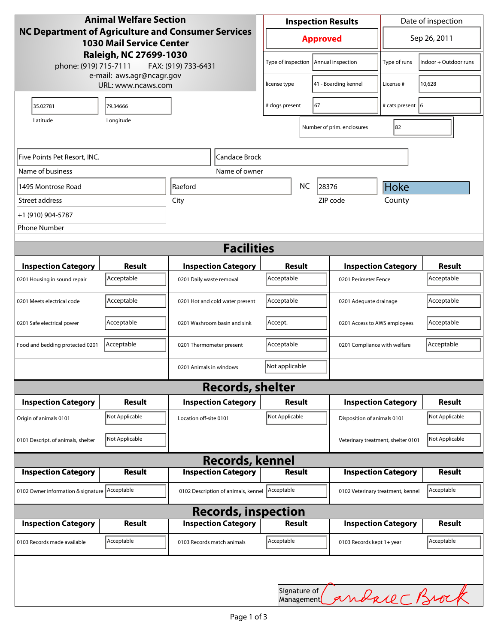| <b>Animal Welfare Section</b><br>NC Department of Agriculture and Consumer Services<br><b>1030 Mail Service Center</b><br>Raleigh, NC 27699-1030<br>phone: (919) 715-7111<br>FAX: (919) 733-6431 |                |                                     | <b>Inspection Results</b>          |                      |                                   |                              | Date of inspection         |                            |  |
|--------------------------------------------------------------------------------------------------------------------------------------------------------------------------------------------------|----------------|-------------------------------------|------------------------------------|----------------------|-----------------------------------|------------------------------|----------------------------|----------------------------|--|
|                                                                                                                                                                                                  |                |                                     | <b>Approved</b>                    |                      |                                   |                              | Sep 26, 2011               |                            |  |
|                                                                                                                                                                                                  |                |                                     | Type of inspection                 |                      |                                   | Annual inspection            | Type of runs               | Indoor + Outdoor runs      |  |
| e-mail: aws.agr@ncagr.gov<br>URL: www.ncaws.com                                                                                                                                                  |                |                                     | license type                       |                      |                                   | 41 - Boarding kennel         | License #                  | 10,628                     |  |
| 35.02781                                                                                                                                                                                         | 79.34666       |                                     | 67<br># dogs present               |                      |                                   |                              | # cats present  6          |                            |  |
| Latitude                                                                                                                                                                                         | Longitude      |                                     |                                    |                      |                                   | Number of prim. enclosures   | 82                         |                            |  |
| Five Points Pet Resort, INC.<br>Candace Brock                                                                                                                                                    |                |                                     |                                    |                      |                                   |                              |                            |                            |  |
| Name of business                                                                                                                                                                                 |                | Name of owner                       |                                    |                      |                                   |                              |                            |                            |  |
| 1495 Montrose Road                                                                                                                                                                               |                | <b>Raeford</b>                      | <b>NC</b><br>28376                 |                      |                                   | Hoke                         |                            |                            |  |
| Street address                                                                                                                                                                                   |                | City                                |                                    | ZIP code             |                                   |                              | County                     |                            |  |
| +1 (910) 904-5787                                                                                                                                                                                |                |                                     |                                    |                      |                                   |                              |                            |                            |  |
| <b>Phone Number</b>                                                                                                                                                                              |                |                                     |                                    |                      |                                   |                              |                            |                            |  |
| <b>Facilities</b>                                                                                                                                                                                |                |                                     |                                    |                      |                                   |                              |                            |                            |  |
| <b>Inspection Category</b>                                                                                                                                                                       | <b>Result</b>  | <b>Inspection Category</b>          |                                    | Result               |                                   |                              | <b>Inspection Category</b> | <b>Result</b>              |  |
| 0201 Housing in sound repair                                                                                                                                                                     | Acceptable     | 0201 Daily waste removal            | Acceptable                         | 0201 Perimeter Fence |                                   |                              | Acceptable                 |                            |  |
| 0201 Meets electrical code                                                                                                                                                                       | Acceptable     | 0201 Hot and cold water present     | Acceptable                         |                      |                                   | 0201 Adequate drainage       |                            | Acceptable                 |  |
| 0201 Safe electrical power                                                                                                                                                                       | Acceptable     | 0201 Washroom basin and sink        | Accept.                            |                      |                                   | 0201 Access to AWS employees |                            | Acceptable                 |  |
| Food and bedding protected 0201                                                                                                                                                                  | Acceptable     | 0201 Thermometer present            | Acceptable                         |                      |                                   | 0201 Compliance with welfare |                            | Acceptable                 |  |
|                                                                                                                                                                                                  |                | 0201 Animals in windows             | Not applicable                     |                      |                                   |                              |                            |                            |  |
|                                                                                                                                                                                                  |                | <b>Records, shelter</b>             |                                    |                      |                                   |                              |                            |                            |  |
| <b>Inspection Category</b>                                                                                                                                                                       | <b>Result</b>  | <b>Inspection Category</b>          |                                    | Result               |                                   | <b>Inspection Category</b>   |                            | <b>Result</b>              |  |
| Origin of animals 0101                                                                                                                                                                           | Not Applicable | Location off-site 0101              | Not Applicable                     |                      |                                   | Disposition of animals 0101  |                            | Not Applicable             |  |
| 0101 Descript. of animals, shelter                                                                                                                                                               | Not Applicable |                                     | Veterinary treatment, shelter 0101 |                      |                                   |                              |                            | Not Applicable             |  |
|                                                                                                                                                                                                  |                | <b>Records, kennel</b>              |                                    |                      |                                   |                              |                            |                            |  |
| <b>Inspection Category</b>                                                                                                                                                                       | <b>Result</b>  | <b>Inspection Category</b>          |                                    | <b>Result</b>        |                                   |                              | <b>Inspection Category</b> | <b>Result</b>              |  |
| 0102 Owner information & signature Acceptable                                                                                                                                                    |                | 0102 Description of animals, kennel | Acceptable                         |                      | 0102 Veterinary treatment, kennel |                              | Acceptable                 |                            |  |
| <b>Records, inspection</b>                                                                                                                                                                       |                |                                     |                                    |                      |                                   |                              |                            |                            |  |
| <b>Inspection Category</b>                                                                                                                                                                       | <b>Result</b>  | <b>Inspection Category</b>          |                                    | Result               |                                   |                              | <b>Inspection Category</b> | <b>Result</b>              |  |
| 0103 Records made available                                                                                                                                                                      | Acceptable     | 0103 Records match animals          | Acceptable                         |                      |                                   | 0103 Records kept 1+ year    |                            | Acceptable                 |  |
|                                                                                                                                                                                                  |                |                                     |                                    |                      |                                   |                              |                            |                            |  |
|                                                                                                                                                                                                  |                |                                     |                                    |                      |                                   |                              |                            | Signature of Candace Brock |  |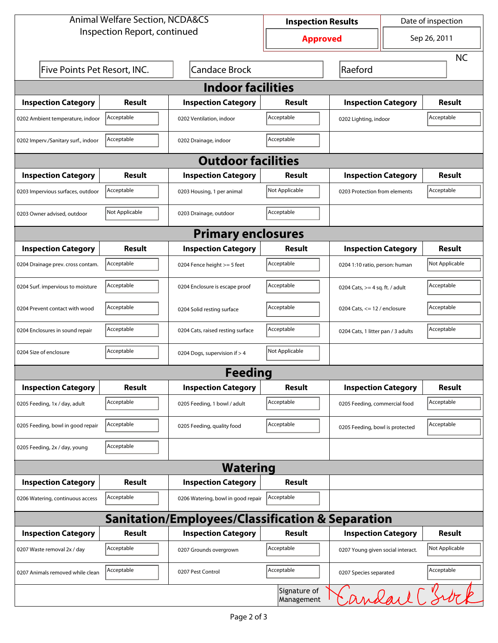| <b>Animal Welfare Section, NCDA&amp;CS</b>                  |                |                                    | <b>Inspection Results</b>  |                                     | Date of inspection |                |  |  |  |
|-------------------------------------------------------------|----------------|------------------------------------|----------------------------|-------------------------------------|--------------------|----------------|--|--|--|
| Inspection Report, continued                                |                |                                    | <b>Approved</b>            |                                     | Sep 26, 2011       |                |  |  |  |
|                                                             |                |                                    |                            |                                     |                    | <b>NC</b>      |  |  |  |
| Five Points Pet Resort, INC.                                |                | <b>Candace Brock</b>               |                            | Raeford                             |                    |                |  |  |  |
| <b>Indoor facilities</b>                                    |                |                                    |                            |                                     |                    |                |  |  |  |
| <b>Inspection Category</b>                                  | <b>Result</b>  | <b>Inspection Category</b>         | Result                     | <b>Inspection Category</b>          |                    | <b>Result</b>  |  |  |  |
| 0202 Ambient temperature, indoor                            | Acceptable     | 0202 Ventilation, indoor           | Acceptable                 | Acceptable<br>0202 Lighting, indoor |                    |                |  |  |  |
| 0202 Imperv./Sanitary surf., indoor                         | Acceptable     | 0202 Drainage, indoor              | Acceptable                 |                                     |                    |                |  |  |  |
| <b>Outdoor facilities</b>                                   |                |                                    |                            |                                     |                    |                |  |  |  |
| <b>Inspection Category</b>                                  | Result         | <b>Inspection Category</b>         | Result                     | <b>Inspection Category</b>          |                    | <b>Result</b>  |  |  |  |
| 0203 Impervious surfaces, outdoor                           | Acceptable     | 0203 Housing, 1 per animal         | Not Applicable             | 0203 Protection from elements       |                    | Acceptable     |  |  |  |
| 0203 Owner advised, outdoor                                 | Not Applicable | 0203 Drainage, outdoor             | Acceptable                 |                                     |                    |                |  |  |  |
| <b>Primary enclosures</b>                                   |                |                                    |                            |                                     |                    |                |  |  |  |
| <b>Inspection Category</b>                                  | Result         | <b>Inspection Category</b>         | Result                     | <b>Inspection Category</b>          |                    | <b>Result</b>  |  |  |  |
| 0204 Drainage prev. cross contam.                           | Acceptable     | 0204 Fence height >= 5 feet        | Acceptable                 | 0204 1:10 ratio, person: human      |                    | Not Applicable |  |  |  |
| 0204 Surf. impervious to moisture                           | Acceptable     | 0204 Enclosure is escape proof     | Acceptable                 | 0204 Cats, $>=$ 4 sq. ft. / adult   |                    | Acceptable     |  |  |  |
| 0204 Prevent contact with wood                              | Acceptable     | 0204 Solid resting surface         | Acceptable                 | 0204 Cats, $<= 12$ / enclosure      |                    | Acceptable     |  |  |  |
| 0204 Enclosures in sound repair                             | Acceptable     | 0204 Cats, raised resting surface  | Acceptable                 | 0204 Cats, 1 litter pan / 3 adults  |                    | Acceptable     |  |  |  |
| 0204 Size of enclosure                                      | Acceptable     | 0204 Dogs, supervision if > 4      | Not Applicable             |                                     |                    |                |  |  |  |
|                                                             |                | <b>Feeding</b>                     |                            |                                     |                    |                |  |  |  |
| <b>Inspection Category</b>                                  | <b>Result</b>  | <b>Inspection Category</b>         | <b>Result</b>              | <b>Inspection Category</b>          |                    | Result         |  |  |  |
| 0205 Feeding, 1x / day, adult                               | Acceptable     | 0205 Feeding, 1 bowl / adult       | Acceptable                 | 0205 Feeding, commercial food       |                    | Acceptable     |  |  |  |
| 0205 Feeding, bowl in good repair                           | Acceptable     | 0205 Feeding, quality food         | Acceptable                 | 0205 Feeding, bowl is protected     |                    | Acceptable     |  |  |  |
| 0205 Feeding, 2x / day, young                               | Acceptable     |                                    |                            |                                     |                    |                |  |  |  |
|                                                             |                | <b>Watering</b>                    |                            |                                     |                    |                |  |  |  |
| <b>Inspection Category</b>                                  | <b>Result</b>  | <b>Inspection Category</b>         | Result                     |                                     |                    |                |  |  |  |
| 0206 Watering, continuous access                            | Acceptable     | 0206 Watering, bowl in good repair | Acceptable                 |                                     |                    |                |  |  |  |
| <b>Sanitation/Employees/Classification &amp; Separation</b> |                |                                    |                            |                                     |                    |                |  |  |  |
| <b>Inspection Category</b>                                  | <b>Result</b>  | <b>Inspection Category</b>         | Result                     | <b>Inspection Category</b>          |                    | <b>Result</b>  |  |  |  |
| 0207 Waste removal 2x / day                                 | Acceptable     | 0207 Grounds overgrown             | Acceptable                 | 0207 Young given social interact.   |                    | Not Applicable |  |  |  |
| 0207 Animals removed while clean                            | Acceptable     | 0207 Pest Control                  | Acceptable                 | 0207 Species separated              |                    | Acceptable     |  |  |  |
|                                                             |                |                                    | Signature of<br>Management |                                     |                    | Sandare C'Swik |  |  |  |